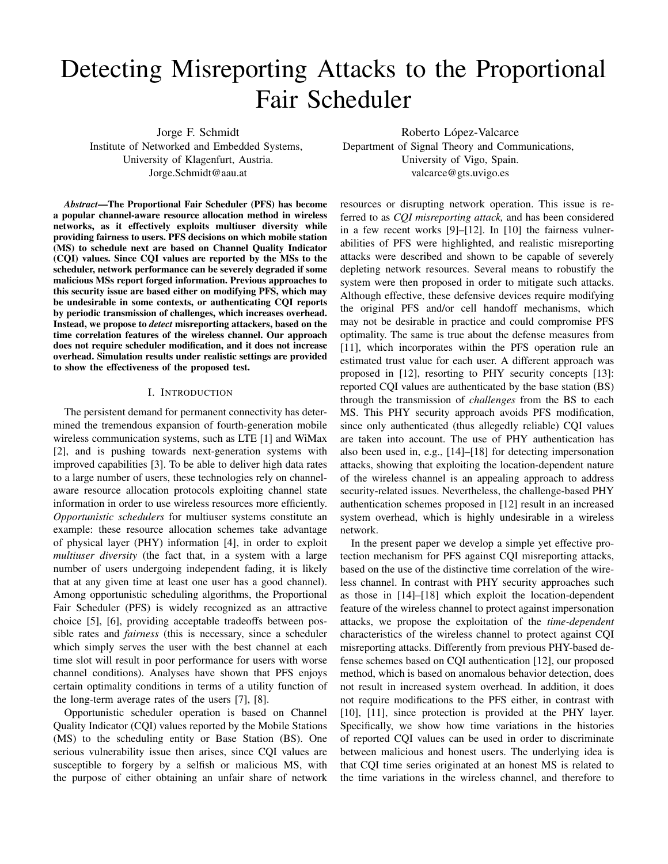# Detecting Misreporting Attacks to the Proportional Fair Scheduler

Jorge F. Schmidt Institute of Networked and Embedded Systems, University of Klagenfurt, Austria. Jorge.Schmidt@aau.at

*Abstract*—The Proportional Fair Scheduler (PFS) has become a popular channel-aware resource allocation method in wireless networks, as it effectively exploits multiuser diversity while providing fairness to users. PFS decisions on which mobile station (MS) to schedule next are based on Channel Quality Indicator (CQI) values. Since CQI values are reported by the MSs to the scheduler, network performance can be severely degraded if some malicious MSs report forged information. Previous approaches to this security issue are based either on modifying PFS, which may be undesirable in some contexts, or authenticating CQI reports by periodic transmission of challenges, which increases overhead. Instead, we propose to *detect* misreporting attackers, based on the time correlation features of the wireless channel. Our approach does not require scheduler modification, and it does not increase overhead. Simulation results under realistic settings are provided to show the effectiveness of the proposed test.

## I. INTRODUCTION

The persistent demand for permanent connectivity has determined the tremendous expansion of fourth-generation mobile wireless communication systems, such as LTE [1] and WiMax [2], and is pushing towards next-generation systems with improved capabilities [3]. To be able to deliver high data rates to a large number of users, these technologies rely on channelaware resource allocation protocols exploiting channel state information in order to use wireless resources more efficiently. *Opportunistic schedulers* for multiuser systems constitute an example: these resource allocation schemes take advantage of physical layer (PHY) information [4], in order to exploit *multiuser diversity* (the fact that, in a system with a large number of users undergoing independent fading, it is likely that at any given time at least one user has a good channel). Among opportunistic scheduling algorithms, the Proportional Fair Scheduler (PFS) is widely recognized as an attractive choice [5], [6], providing acceptable tradeoffs between possible rates and *fairness* (this is necessary, since a scheduler which simply serves the user with the best channel at each time slot will result in poor performance for users with worse channel conditions). Analyses have shown that PFS enjoys certain optimality conditions in terms of a utility function of the long-term average rates of the users [7], [8].

Opportunistic scheduler operation is based on Channel Quality Indicator (CQI) values reported by the Mobile Stations (MS) to the scheduling entity or Base Station (BS). One serious vulnerability issue then arises, since CQI values are susceptible to forgery by a selfish or malicious MS, with the purpose of either obtaining an unfair share of network

Roberto López-Valcarce Department of Signal Theory and Communications, University of Vigo, Spain. valcarce@gts.uvigo.es

resources or disrupting network operation. This issue is referred to as *CQI misreporting attack,* and has been considered in a few recent works [9]–[12]. In [10] the fairness vulnerabilities of PFS were highlighted, and realistic misreporting attacks were described and shown to be capable of severely depleting network resources. Several means to robustify the system were then proposed in order to mitigate such attacks. Although effective, these defensive devices require modifying the original PFS and/or cell handoff mechanisms, which may not be desirable in practice and could compromise PFS optimality. The same is true about the defense measures from [11], which incorporates within the PFS operation rule an estimated trust value for each user. A different approach was proposed in [12], resorting to PHY security concepts [13]: reported CQI values are authenticated by the base station (BS) through the transmission of *challenges* from the BS to each MS. This PHY security approach avoids PFS modification, since only authenticated (thus allegedly reliable) CQI values are taken into account. The use of PHY authentication has also been used in, e.g., [14]–[18] for detecting impersonation attacks, showing that exploiting the location-dependent nature of the wireless channel is an appealing approach to address security-related issues. Nevertheless, the challenge-based PHY authentication schemes proposed in [12] result in an increased system overhead, which is highly undesirable in a wireless network.

In the present paper we develop a simple yet effective protection mechanism for PFS against CQI misreporting attacks, based on the use of the distinctive time correlation of the wireless channel. In contrast with PHY security approaches such as those in [14]–[18] which exploit the location-dependent feature of the wireless channel to protect against impersonation attacks, we propose the exploitation of the *time-dependent* characteristics of the wireless channel to protect against CQI misreporting attacks. Differently from previous PHY-based defense schemes based on CQI authentication [12], our proposed method, which is based on anomalous behavior detection, does not result in increased system overhead. In addition, it does not require modifications to the PFS either, in contrast with [10], [11], since protection is provided at the PHY layer. Specifically, we show how time variations in the histories of reported CQI values can be used in order to discriminate between malicious and honest users. The underlying idea is that CQI time series originated at an honest MS is related to the time variations in the wireless channel, and therefore to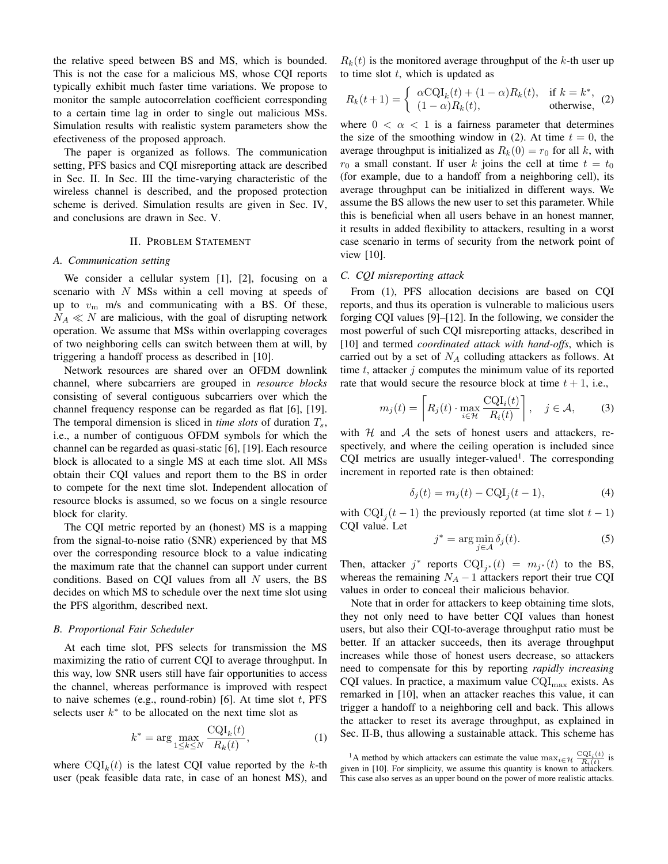the relative speed between BS and MS, which is bounded. This is not the case for a malicious MS, whose CQI reports typically exhibit much faster time variations. We propose to monitor the sample autocorrelation coefficient corresponding to a certain time lag in order to single out malicious MSs. Simulation results with realistic system parameters show the efectiveness of the proposed approach.

The paper is organized as follows. The communication setting, PFS basics and CQI misreporting attack are described in Sec. II. In Sec. III the time-varying characteristic of the wireless channel is described, and the proposed protection scheme is derived. Simulation results are given in Sec. IV, and conclusions are drawn in Sec. V.

#### II. PROBLEM STATEMENT

#### *A. Communication setting*

We consider a cellular system [1], [2], focusing on a scenario with  $N$  MSs within a cell moving at speeds of up to  $v_m$  m/s and communicating with a BS. Of these,  $N_A \ll N$  are malicious, with the goal of disrupting network operation. We assume that MSs within overlapping coverages of two neighboring cells can switch between them at will, by triggering a handoff process as described in [10].

Network resources are shared over an OFDM downlink channel, where subcarriers are grouped in *resource blocks* consisting of several contiguous subcarriers over which the channel frequency response can be regarded as flat [6], [19]. The temporal dimension is sliced in *time slots* of duration  $T_s$ , i.e., a number of contiguous OFDM symbols for which the channel can be regarded as quasi-static [6], [19]. Each resource block is allocated to a single MS at each time slot. All MSs obtain their CQI values and report them to the BS in order to compete for the next time slot. Independent allocation of resource blocks is assumed, so we focus on a single resource block for clarity.

The CQI metric reported by an (honest) MS is a mapping from the signal-to-noise ratio (SNR) experienced by that MS over the corresponding resource block to a value indicating the maximum rate that the channel can support under current conditions. Based on CQI values from all  $N$  users, the BS decides on which MS to schedule over the next time slot using the PFS algorithm, described next.

## *B. Proportional Fair Scheduler*

At each time slot, PFS selects for transmission the MS maximizing the ratio of current CQI to average throughput. In this way, low SNR users still have fair opportunities to access the channel, whereas performance is improved with respect to naive schemes (e.g., round-robin) [6]. At time slot  $t$ , PFS selects user  $k^*$  to be allocated on the next time slot as

$$
k^* = \arg\max_{1 \le k \le N} \frac{\text{CQI}_k(t)}{R_k(t)},\tag{1}
$$

where  $\text{CQI}_k(t)$  is the latest CQI value reported by the k-th user (peak feasible data rate, in case of an honest MS), and

 $R_k(t)$  is the monitored average throughput of the k-th user up to time slot  $t$ , which is updated as

$$
R_k(t+1) = \begin{cases} \alpha \text{CQI}_k(t) + (1-\alpha)R_k(t), & \text{if } k = k^*,\\ (1-\alpha)R_k(t), & \text{otherwise}, \end{cases}
$$
 (2)

where  $0 < \alpha < 1$  is a fairness parameter that determines the size of the smoothing window in (2). At time  $t = 0$ , the average throughput is initialized as  $R_k(0) = r_0$  for all k, with  $r_0$  a small constant. If user k joins the cell at time  $t = t_0$ (for example, due to a handoff from a neighboring cell), its average throughput can be initialized in different ways. We assume the BS allows the new user to set this parameter. While this is beneficial when all users behave in an honest manner, it results in added flexibility to attackers, resulting in a worst case scenario in terms of security from the network point of view [10].

#### *C. CQI misreporting attack*

From (1), PFS allocation decisions are based on CQI reports, and thus its operation is vulnerable to malicious users forging CQI values [9]–[12]. In the following, we consider the most powerful of such CQI misreporting attacks, described in [10] and termed *coordinated attack with hand-offs*, which is carried out by a set of  $N_A$  colluding attackers as follows. At time  $t$ , attacker  $j$  computes the minimum value of its reported rate that would secure the resource block at time  $t + 1$ , i.e.,

$$
m_j(t) = \left[ R_j(t) \cdot \max_{i \in \mathcal{H}} \frac{\text{CQI}_i(t)}{R_i(t)} \right], \quad j \in \mathcal{A}, \quad (3)
$$

with  $H$  and  $A$  the sets of honest users and attackers, respectively, and where the ceiling operation is included since CQI metrics are usually integer-valued<sup>1</sup>. The corresponding increment in reported rate is then obtained:

$$
\delta_j(t) = m_j(t) - \text{CQI}_j(t-1),\tag{4}
$$

with  $\text{CQI}_j(t-1)$  the previously reported (at time slot  $t-1$ ) CQI value. Let

$$
j^* = \arg\min_{j \in \mathcal{A}} \delta_j(t). \tag{5}
$$

Then, attacker  $j^*$  reports  $\text{CQI}_{j^*}(t) = m_{j^*}(t)$  to the BS, whereas the remaining  $N_A - 1$  attackers report their true CQI values in order to conceal their malicious behavior.

Note that in order for attackers to keep obtaining time slots, they not only need to have better CQI values than honest users, but also their CQI-to-average throughput ratio must be better. If an attacker succeeds, then its average throughput increases while those of honest users decrease, so attackers need to compensate for this by reporting *rapidly increasing* CQI values. In practice, a maximum value  $\text{CQI}_{\text{max}}$  exists. As remarked in [10], when an attacker reaches this value, it can trigger a handoff to a neighboring cell and back. This allows the attacker to reset its average throughput, as explained in Sec. II-B, thus allowing a sustainable attack. This scheme has

<sup>&</sup>lt;sup>1</sup>A method by which attackers can estimate the value  $\max_{i \in \mathcal{H}} \frac{CQI_i(t)}{R_i(t)}$  is given in [10]. For simplicity, we assume this quantity is known to attackers. This case also serves as an upper bound on the power of more realistic attacks.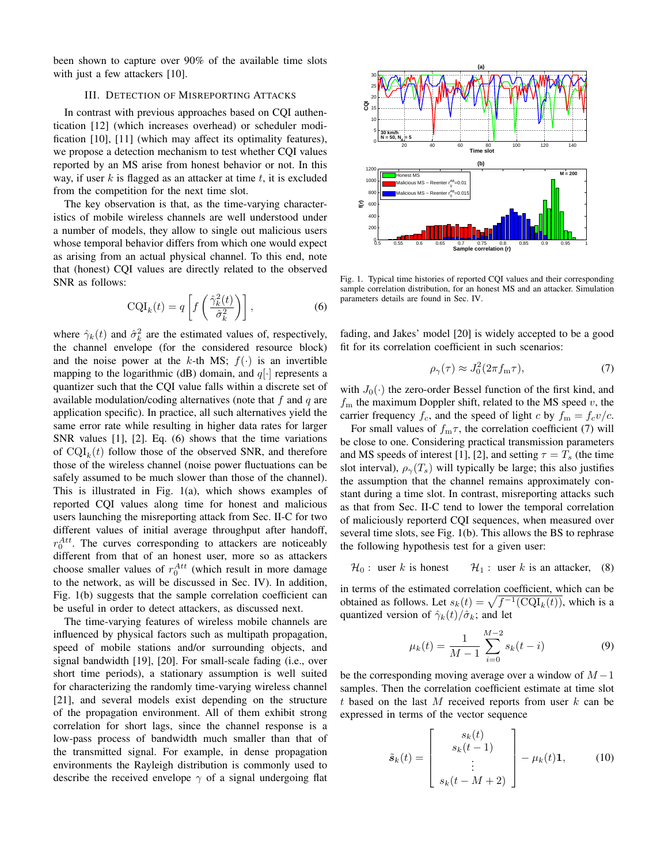been shown to capture over 90% of the available time slots with just a few attackers [10].

## III. DETECTION OF MISREPORTING ATTACKS

In contrast with previous approaches based on CQI authentication [12] (which increases overhead) or scheduler modification [10], [11] (which may affect its optimality features), we propose a detection mechanism to test whether CQI values reported by an MS arise from honest behavior or not. In this way, if user  $k$  is flagged as an attacker at time  $t$ , it is excluded from the competition for the next time slot.

The key observation is that, as the time-varying characteristics of mobile wireless channels are well understood under a number of models, they allow to single out malicious users whose temporal behavior differs from which one would expect as arising from an actual physical channel. To this end, note that (honest) CQI values are directly related to the observed SNR as follows:

$$
CQI_k(t) = q \left[ f\left(\frac{\hat{\gamma}_k^2(t)}{\hat{\sigma}_k^2}\right) \right],\tag{6}
$$

where  $\hat{\gamma}_k(t)$  and  $\hat{\sigma}_k^2$  are the estimated values of, respectively, the channel envelope (for the considered resource block) and the noise power at the k-th MS;  $f(\cdot)$  is an invertible mapping to the logarithmic (dB) domain, and  $q[\cdot]$  represents a quantizer such that the CQI value falls within a discrete set of available modulation/coding alternatives (note that  $f$  and  $q$  are application specific). In practice, all such alternatives yield the same error rate while resulting in higher data rates for larger SNR values [1], [2]. Eq. (6) shows that the time variations of  $\mathrm{CQI}_k(t)$  follow those of the observed SNR, and therefore those of the wireless channel (noise power fluctuations can be safely assumed to be much slower than those of the channel). This is illustrated in Fig. 1(a), which shows examples of reported CQI values along time for honest and malicious users launching the misreporting attack from Sec. II-C for two different values of initial average throughput after handoff,  $r_0^{Att}$ . The curves corresponding to attackers are noticeably different from that of an honest user, more so as attackers choose smaller values of  $r_0^{Att}$  (which result in more damage to the network, as will be discussed in Sec. IV). In addition, Fig. 1(b) suggests that the sample correlation coefficient can be useful in order to detect attackers, as discussed next.

The time-varying features of wireless mobile channels are influenced by physical factors such as multipath propagation, speed of mobile stations and/or surrounding objects, and signal bandwidth [19], [20]. For small-scale fading (i.e., over short time periods), a stationary assumption is well suited for characterizing the randomly time-varying wireless channel [21], and several models exist depending on the structure of the propagation environment. All of them exhibit strong correlation for short lags, since the channel response is a low-pass process of bandwidth much smaller than that of the transmitted signal. For example, in dense propagation environments the Rayleigh distribution is commonly used to describe the received envelope  $\gamma$  of a signal undergoing flat



Fig. 1. Typical time histories of reported CQI values and their corresponding sample correlation distribution, for an honest MS and an attacker. Simulation parameters details are found in Sec. IV.

fading, and Jakes' model [20] is widely accepted to be a good fit for its correlation coefficient in such scenarios:

$$
\rho_{\gamma}(\tau) \approx J_0^2 (2\pi f_{\rm m}\tau),\tag{7}
$$

with  $J_0(\cdot)$  the zero-order Bessel function of the first kind, and  $f<sub>m</sub>$  the maximum Doppler shift, related to the MS speed  $v$ , the carrier frequency  $f_c$ , and the speed of light c by  $f_m = f_c v/c$ .

For small values of  $f_m \tau$ , the correlation coefficient (7) will be close to one. Considering practical transmission parameters and MS speeds of interest [1], [2], and setting  $\tau = T_s$  (the time slot interval),  $\rho_{\gamma}(T_s)$  will typically be large; this also justifies the assumption that the channel remains approximately constant during a time slot. In contrast, misreporting attacks such as that from Sec. II-C tend to lower the temporal correlation of maliciously reporterd CQI sequences, when measured over several time slots, see Fig. 1(b). This allows the BS to rephrase the following hypothesis test for a given user:

$$
\mathcal{H}_0: \text{ user } k \text{ is honest} \qquad \mathcal{H}_1: \text{ user } k \text{ is an attacker,} \quad (8)
$$

in terms of the estimated correlation coefficient, which can be obtained as follows. Let  $s_k(t) = \sqrt{f^{-1}(\text{CQI}_k(t))}$ , which is a quantized version of  $\hat{\gamma}_k(t)/\hat{\sigma}_k$ ; and let

$$
\mu_k(t) = \frac{1}{M-1} \sum_{i=0}^{M-2} s_k(t-i)
$$
\n(9)

be the corresponding moving average over a window of  $M-1$ samples. Then the correlation coefficient estimate at time slot  $t$  based on the last  $M$  received reports from user  $k$  can be expressed in terms of the vector sequence

$$
\tilde{s}_k(t) = \begin{bmatrix} s_k(t) \\ s_k(t-1) \\ \vdots \\ s_k(t-M+2) \end{bmatrix} - \mu_k(t) \mathbf{1}, \qquad (10)
$$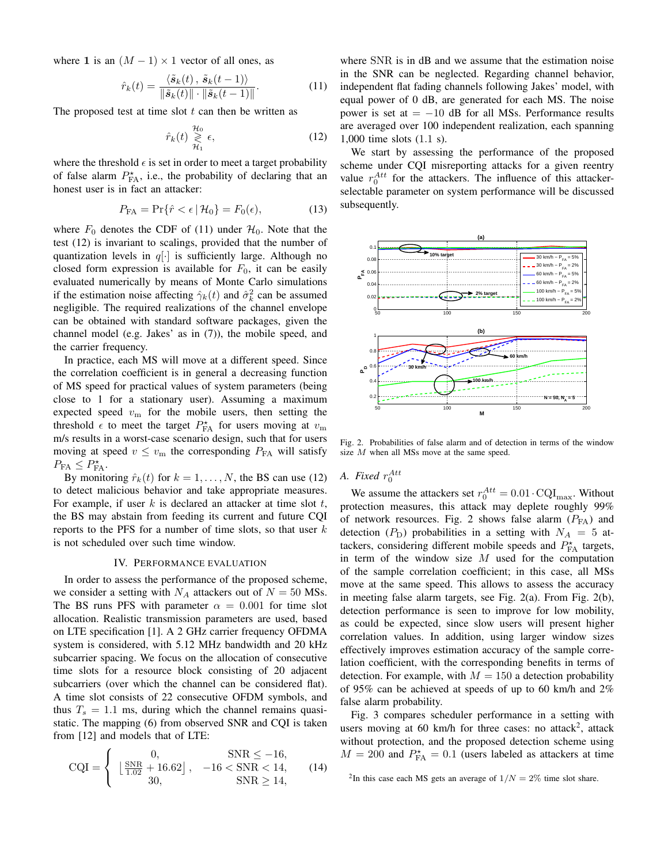where 1 is an  $(M - 1) \times 1$  vector of all ones, as

$$
\hat{r}_k(t) = \frac{\langle \tilde{s}_k(t), \tilde{s}_k(t-1) \rangle}{\|\tilde{s}_k(t)\| \cdot \|\tilde{s}_k(t-1)\|}.
$$
\n(11)

The proposed test at time slot  $t$  can then be written as

$$
\hat{r}_k(t) \underset{\mathcal{H}_1}{\geqslant} \epsilon,\tag{12}
$$

where the threshold  $\epsilon$  is set in order to meet a target probability of false alarm  $P_{FA}^{\star}$ , i.e., the probability of declaring that an honest user is in fact an attacker:

$$
P_{\text{FA}} = \Pr\{\hat{r} < \epsilon \,|\, \mathcal{H}_0\} = F_0(\epsilon),\tag{13}
$$

where  $F_0$  denotes the CDF of (11) under  $\mathcal{H}_0$ . Note that the test (12) is invariant to scalings, provided that the number of quantization levels in  $q[\cdot]$  is sufficiently large. Although no closed form expression is available for  $F_0$ , it can be easily evaluated numerically by means of Monte Carlo simulations if the estimation noise affecting  $\hat{\gamma}_k(t)$  and  $\hat{\sigma}_k^2$  can be assumed negligible. The required realizations of the channel envelope can be obtained with standard software packages, given the channel model (e.g. Jakes' as in (7)), the mobile speed, and the carrier frequency.

In practice, each MS will move at a different speed. Since the correlation coefficient is in general a decreasing function of MS speed for practical values of system parameters (being close to 1 for a stationary user). Assuming a maximum expected speed  $v<sub>m</sub>$  for the mobile users, then setting the threshold  $\epsilon$  to meet the target  $P_{FA}^{\star}$  for users moving at  $v_{\rm m}$ m/s results in a worst-case scenario design, such that for users moving at speed  $v \leq v_{\text{m}}$  the corresponding  $P_{\text{FA}}$  will satisfy  $P_{FA} \leq P_{FA}^{\star}$ .

By monitoring  $\hat{r}_k(t)$  for  $k = 1, \dots, N$ , the BS can use (12) to detect malicious behavior and take appropriate measures. For example, if user  $k$  is declared an attacker at time slot  $t$ , the BS may abstain from feeding its current and future CQI reports to the PFS for a number of time slots, so that user  $k$ is not scheduled over such time window.

#### IV. PERFORMANCE EVALUATION

In order to assess the performance of the proposed scheme, we consider a setting with  $N_A$  attackers out of  $N = 50$  MSs. The BS runs PFS with parameter  $\alpha = 0.001$  for time slot allocation. Realistic transmission parameters are used, based on LTE specification [1]. A 2 GHz carrier frequency OFDMA system is considered, with 5.12 MHz bandwidth and 20 kHz subcarrier spacing. We focus on the allocation of consecutive time slots for a resource block consisting of 20 adjacent subcarriers (over which the channel can be considered flat). A time slot consists of 22 consecutive OFDM symbols, and thus  $T_s = 1.1$  ms, during which the channel remains quasistatic. The mapping (6) from observed SNR and CQI is taken from [12] and models that of LTE:

$$
CQI = \begin{cases} 0, & SNR \le -16, \\ \left\lfloor \frac{SNR}{1.02} + 16.62 \right\rfloor, & -16 < SNR < 14, \\ 30, & SNR \ge 14, \end{cases} \tag{14}
$$

where SNR is in dB and we assume that the estimation noise in the SNR can be neglected. Regarding channel behavior, independent flat fading channels following Jakes' model, with equal power of 0 dB, are generated for each MS. The noise power is set at  $= -10$  dB for all MSs. Performance results are averaged over 100 independent realization, each spanning 1,000 time slots (1.1 s).

We start by assessing the performance of the proposed scheme under CQI misreporting attacks for a given reentry value  $r_0^{Att}$  for the attackers. The influence of this attackerselectable parameter on system performance will be discussed subsequently.



Fig. 2. Probabilities of false alarm and of detection in terms of the window size  $M$  when all MSs move at the same speed.

# A. Fixed  $r_0^{Att}$

We assume the attackers set  $r_0^{Att} = 0.01 \cdot \text{CQI}_{\text{max}}$ . Without protection measures, this attack may deplete roughly 99% of network resources. Fig. 2 shows false alarm  $(P_{FA})$  and detection ( $P_D$ ) probabilities in a setting with  $N_A = 5$  attackers, considering different mobile speeds and  $P_{FA}^{\star}$  targets, in term of the window size  $M$  used for the computation of the sample correlation coefficient; in this case, all MSs move at the same speed. This allows to assess the accuracy in meeting false alarm targets, see Fig. 2(a). From Fig. 2(b), detection performance is seen to improve for low mobility, as could be expected, since slow users will present higher correlation values. In addition, using larger window sizes effectively improves estimation accuracy of the sample correlation coefficient, with the corresponding benefits in terms of detection. For example, with  $M = 150$  a detection probability of 95% can be achieved at speeds of up to 60 km/h and 2% false alarm probability.

Fig. 3 compares scheduler performance in a setting with users moving at 60 km/h for three cases: no attack<sup>2</sup>, attack without protection, and the proposed detection scheme using  $M = 200$  and  $P_{\text{FA}}^{\star} = 0.1$  (users labeled as attackers at time

<sup>2</sup>In this case each MS gets an average of  $1/N = 2\%$  time slot share.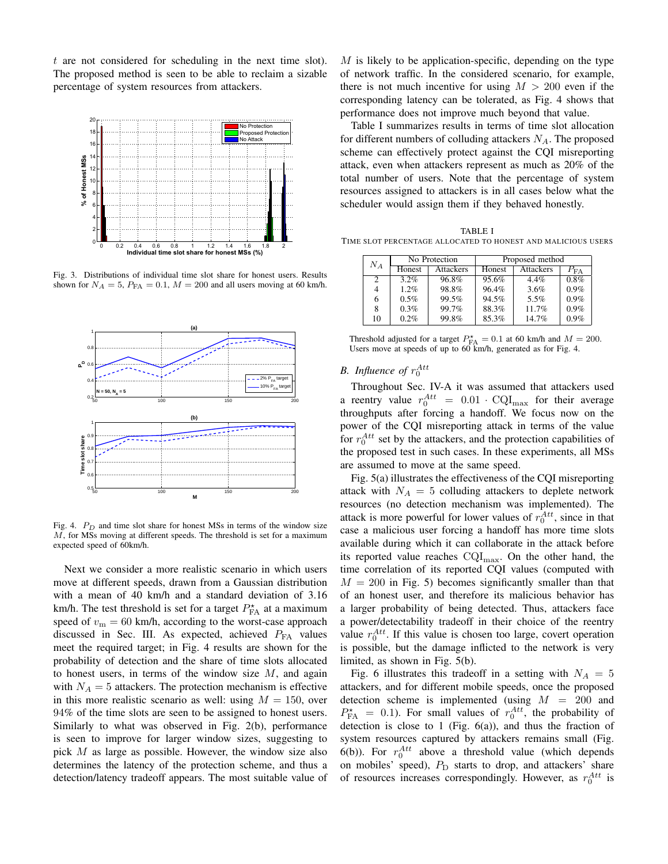t are not considered for scheduling in the next time slot). The proposed method is seen to be able to reclaim a sizable percentage of system resources from attackers.



Fig. 3. Distributions of individual time slot share for honest users. Results shown for  $N_A = 5$ ,  $P_{FA} = 0.1$ ,  $M = 200$  and all users moving at 60 km/h.



Fig. 4.  $P_D$  and time slot share for honest MSs in terms of the window size M, for MSs moving at different speeds. The threshold is set for a maximum expected speed of 60km/h.

Next we consider a more realistic scenario in which users move at different speeds, drawn from a Gaussian distribution with a mean of 40 km/h and a standard deviation of 3.16 km/h. The test threshold is set for a target  $P_{FA}^{\star}$  at a maximum speed of  $v_m = 60$  km/h, according to the worst-case approach discussed in Sec. III. As expected, achieved  $P_{FA}$  values meet the required target; in Fig. 4 results are shown for the probability of detection and the share of time slots allocated to honest users, in terms of the window size  $M$ , and again with  $N_A = 5$  attackers. The protection mechanism is effective in this more realistic scenario as well: using  $M = 150$ , over 94% of the time slots are seen to be assigned to honest users. Similarly to what was observed in Fig. 2(b), performance is seen to improve for larger window sizes, suggesting to pick  $M$  as large as possible. However, the window size also determines the latency of the protection scheme, and thus a detection/latency tradeoff appears. The most suitable value of

 $M$  is likely to be application-specific, depending on the type of network traffic. In the considered scenario, for example, there is not much incentive for using  $M > 200$  even if the corresponding latency can be tolerated, as Fig. 4 shows that performance does not improve much beyond that value.

Table I summarizes results in terms of time slot allocation for different numbers of colluding attackers  $N_A$ . The proposed scheme can effectively protect against the CQI misreporting attack, even when attackers represent as much as 20% of the total number of users. Note that the percentage of system resources assigned to attackers is in all cases below what the scheduler would assign them if they behaved honestly.

TABLE I TIME SLOT PERCENTAGE ALLOCATED TO HONEST AND MALICIOUS USERS

| $N_A$ | No Protection |           | Proposed method |           |                   |
|-------|---------------|-----------|-----------------|-----------|-------------------|
|       | Honest        | Attackers | Honest          | Attackers | $P_{\mathrm{FA}}$ |
| 2     | $3.2\%$       | 96.8%     | 95.6%           | $4.4\%$   | $0.8\%$           |
|       | $1.2\%$       | 98.8%     | 96.4%           | 3.6%      | 0.9%              |
| 6     | 0.5%          | 99.5%     | 94.5%           | 5.5%      | 0.9%              |
| 8     | 0.3%          | 99.7%     | 88.3%           | 11.7%     | $0.9\%$           |
| 10    | $0.2\%$       | 99.8%     | 85.3%           | 14.7%     | 0.9%              |

Threshold adjusted for a target  $P_{FA}^* = 0.1$  at 60 km/h and  $M = 200$ .<br>Users move at speeds of up to 60 km/h, generated as for Fig. 4.

# *B.* Influence of  $r_0^{Att}$

Throughout Sec. IV-A it was assumed that attackers used a reentry value  $r_0^{Att} = 0.01 \cdot \text{CQI}_{\text{max}}$  for their average throughputs after forcing a handoff. We focus now on the power of the CQI misreporting attack in terms of the value for  $r_0^{Att}$  set by the attackers, and the protection capabilities of the proposed test in such cases. In these experiments, all MSs are assumed to move at the same speed.

Fig. 5(a) illustrates the effectiveness of the CQI misreporting attack with  $N_A = 5$  colluding attackers to deplete network resources (no detection mechanism was implemented). The attack is more powerful for lower values of  $r_0^{Att}$ , since in that case a malicious user forcing a handoff has more time slots available during which it can collaborate in the attack before its reported value reaches  $CQI_{\text{max}}$ . On the other hand, the time correlation of its reported CQI values (computed with  $M = 200$  in Fig. 5) becomes significantly smaller than that of an honest user, and therefore its malicious behavior has a larger probability of being detected. Thus, attackers face a power/detectability tradeoff in their choice of the reentry value  $r_0^{Att}$ . If this value is chosen too large, covert operation is possible, but the damage inflicted to the network is very limited, as shown in Fig. 5(b).

Fig. 6 illustrates this tradeoff in a setting with  $N_A = 5$ attackers, and for different mobile speeds, once the proposed detection scheme is implemented (using  $M = 200$  and  $P_{FA}^{\star} = 0.1$ . For small values of  $r_0^{Att}$ , the probability of detection is close to 1 (Fig.  $6(a)$ ), and thus the fraction of system resources captured by attackers remains small (Fig. 6(b)). For  $r_0^{Att}$  above a threshold value (which depends on mobiles' speed),  $P_D$  starts to drop, and attackers' share of resources increases correspondingly. However, as  $r_0^{Att}$  is